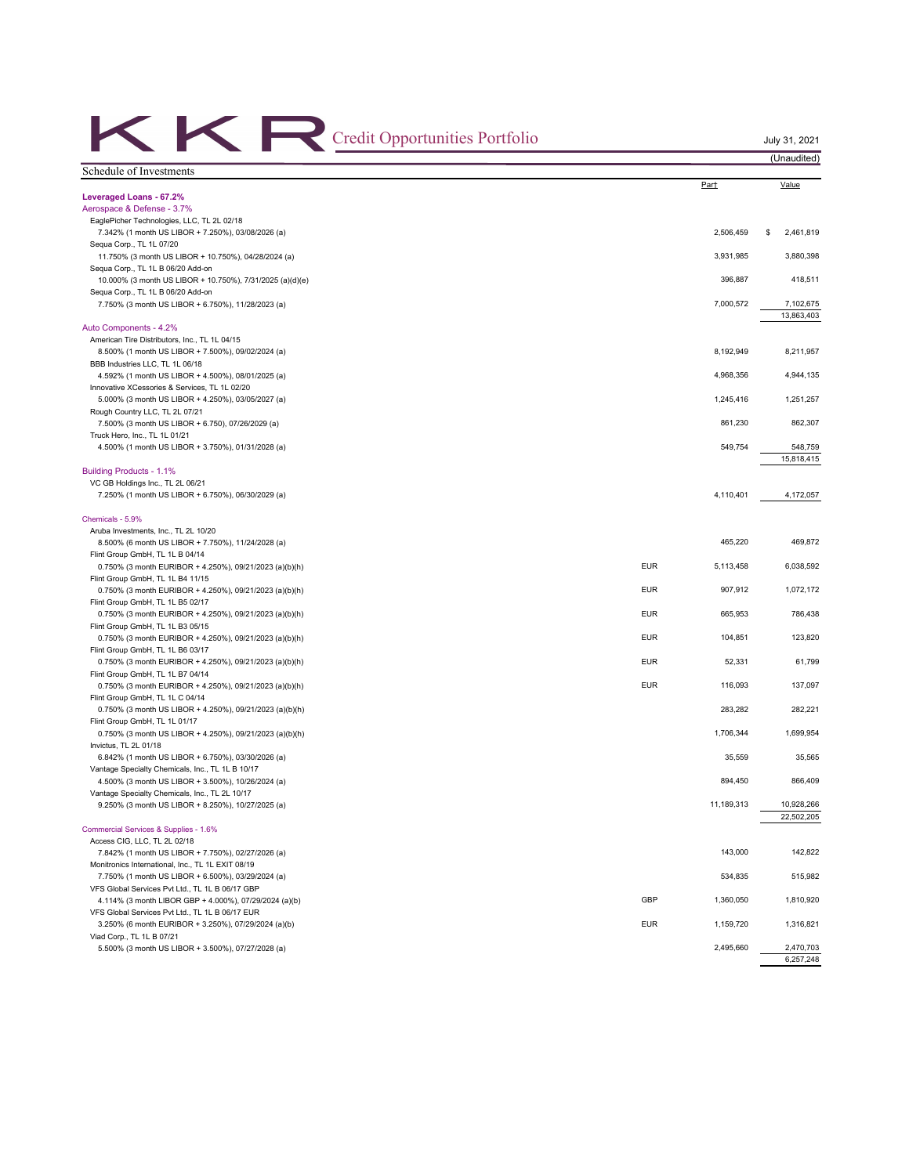| Credit Opportunities Portfolio                                                                          |            |            | July 31, 2021<br>(Unaudited) |
|---------------------------------------------------------------------------------------------------------|------------|------------|------------------------------|
| Schedule of Investments                                                                                 |            |            |                              |
| Leveraged Loans - 67.2%                                                                                 |            | Part       | Value                        |
| Aerospace & Defense - 3.7%                                                                              |            |            |                              |
| EaglePicher Technologies, LLC, TL 2L 02/18                                                              |            |            |                              |
| 7.342% (1 month US LIBOR + 7.250%), 03/08/2026 (a)                                                      |            | 2,506,459  | 2,461,819<br>\$              |
| Sequa Corp., TL 1L 07/20<br>11.750% (3 month US LIBOR + 10.750%), 04/28/2024 (a)                        |            | 3,931,985  | 3,880,398                    |
| Sequa Corp., TL 1L B 06/20 Add-on                                                                       |            |            |                              |
| 10.000% (3 month US LIBOR + 10.750%), 7/31/2025 (a)(d)(e)                                               |            | 396,887    | 418,511                      |
| Sequa Corp., TL 1L B 06/20 Add-on<br>7.750% (3 month US LIBOR + 6.750%), 11/28/2023 (a)                 |            | 7,000,572  | 7,102,675                    |
|                                                                                                         |            |            | 13,863,403                   |
| Auto Components - 4.2%                                                                                  |            |            |                              |
| American Tire Distributors, Inc., TL 1L 04/15                                                           |            |            |                              |
| 8.500% (1 month US LIBOR + 7.500%), 09/02/2024 (a)<br>BBB Industries LLC, TL 1L 06/18                   |            | 8,192,949  | 8,211,957                    |
| 4.592% (1 month US LIBOR + 4.500%), 08/01/2025 (a)                                                      |            | 4,968,356  | 4,944,135                    |
| Innovative XCessories & Services, TL 1L 02/20                                                           |            |            |                              |
| 5.000% (3 month US LIBOR + 4.250%), 03/05/2027 (a)                                                      |            | 1,245,416  | 1,251,257                    |
| Rough Country LLC, TL 2L 07/21                                                                          |            | 861,230    | 862,307                      |
| 7.500% (3 month US LIBOR + 6.750), 07/26/2029 (a)<br>Truck Hero, Inc., TL 1L 01/21                      |            |            |                              |
| 4.500% (1 month US LIBOR + 3.750%), 01/31/2028 (a)                                                      |            | 549,754    | 548,759                      |
|                                                                                                         |            |            | 15,818,415                   |
| Building Products - 1.1%                                                                                |            |            |                              |
| VC GB Holdings Inc., TL 2L 06/21<br>7.250% (1 month US LIBOR + 6.750%), 06/30/2029 (a)                  |            | 4,110,401  | 4,172,057                    |
| Chemicals - 5.9%                                                                                        |            |            |                              |
| Aruba Investments, Inc., TL 2L 10/20                                                                    |            |            |                              |
| 8.500% (6 month US LIBOR + 7.750%), 11/24/2028 (a)                                                      |            | 465,220    | 469,872                      |
| Flint Group GmbH, TL 1L B 04/14                                                                         |            |            |                              |
| 0.750% (3 month EURIBOR + 4.250%), 09/21/2023 (a)(b)(h)                                                 | <b>EUR</b> | 5,113,458  | 6,038,592                    |
| Flint Group GmbH, TL 1L B4 11/15<br>0.750% (3 month EURIBOR + 4.250%), 09/21/2023 (a)(b)(h)             | <b>EUR</b> | 907,912    | 1,072,172                    |
| Flint Group GmbH, TL 1L B5 02/17                                                                        |            |            |                              |
| 0.750% (3 month EURIBOR + 4.250%), 09/21/2023 (a)(b)(h)                                                 | <b>EUR</b> | 665,953    | 786,438                      |
| Flint Group GmbH, TL 1L B3 05/15                                                                        |            |            |                              |
| 0.750% (3 month EURIBOR + 4.250%), 09/21/2023 (a)(b)(h)<br>Flint Group GmbH, TL 1L B6 03/17             | <b>EUR</b> | 104,851    | 123,820                      |
| 0.750% (3 month EURIBOR + 4.250%), 09/21/2023 (a)(b)(h)                                                 | <b>EUR</b> | 52,331     | 61,799                       |
| Flint Group GmbH, TL 1L B7 04/14                                                                        |            |            |                              |
| 0.750% (3 month EURIBOR + 4.250%), 09/21/2023 (a)(b)(h)                                                 | <b>EUR</b> | 116.093    | 137,097                      |
| Flint Group GmbH, TL 1L C 04/14<br>0.750% (3 month US LIBOR + 4.250%), 09/21/2023 (a)(b)(h)             |            | 283,282    | 282,221                      |
| Flint Group GmbH, TL 1L 01/17                                                                           |            |            |                              |
| 0.750% (3 month US LIBOR + 4.250%), 09/21/2023 (a)(b)(h)                                                |            | 1,706,344  | 1,699,954                    |
| Invictus, TL 2L 01/18                                                                                   |            |            |                              |
| 6.842% (1 month US LIBOR + 6.750%), 03/30/2026 (a)<br>Vantage Specialty Chemicals, Inc., TL 1L B 10/17  |            | 35,559     | 35,565                       |
| 4.500% (3 month US LIBOR + 3.500%), 10/26/2024 (a)                                                      |            | 894,450    | 866,409                      |
| Vantage Specialty Chemicals, Inc., TL 2L 10/17                                                          |            |            |                              |
| 9.250% (3 month US LIBOR + 8.250%), 10/27/2025 (a)                                                      |            | 11,189,313 | 10,928,266<br>22,502,205     |
| Commercial Services & Supplies - 1.6%                                                                   |            |            |                              |
| Access CIG, LLC, TL 2L 02/18                                                                            |            |            |                              |
| 7.842% (1 month US LIBOR + 7.750%), 02/27/2026 (a)                                                      |            | 143,000    | 142,822                      |
| Monitronics International, Inc., TL 1L EXIT 08/19<br>7.750% (1 month US LIBOR + 6.500%), 03/29/2024 (a) |            | 534,835    | 515,982                      |
| VFS Global Services Pvt Ltd., TL 1L B 06/17 GBP                                                         |            |            |                              |
| 4.114% (3 month LIBOR GBP + 4.000%), 07/29/2024 (a)(b)                                                  | GBP        | 1,360,050  | 1,810,920                    |
| VFS Global Services Pvt Ltd., TL 1L B 06/17 EUR                                                         |            |            |                              |
| 3.250% (6 month EURIBOR + 3.250%), 07/29/2024 (a)(b)                                                    | <b>EUR</b> | 1,159,720  | 1,316,821                    |
| Viad Corp., TL 1L B 07/21<br>5.500% (3 month US LIBOR + 3.500%), 07/27/2028 (a)                         |            | 2,495,660  | 2,470,703                    |
|                                                                                                         |            |            | 6,257,248                    |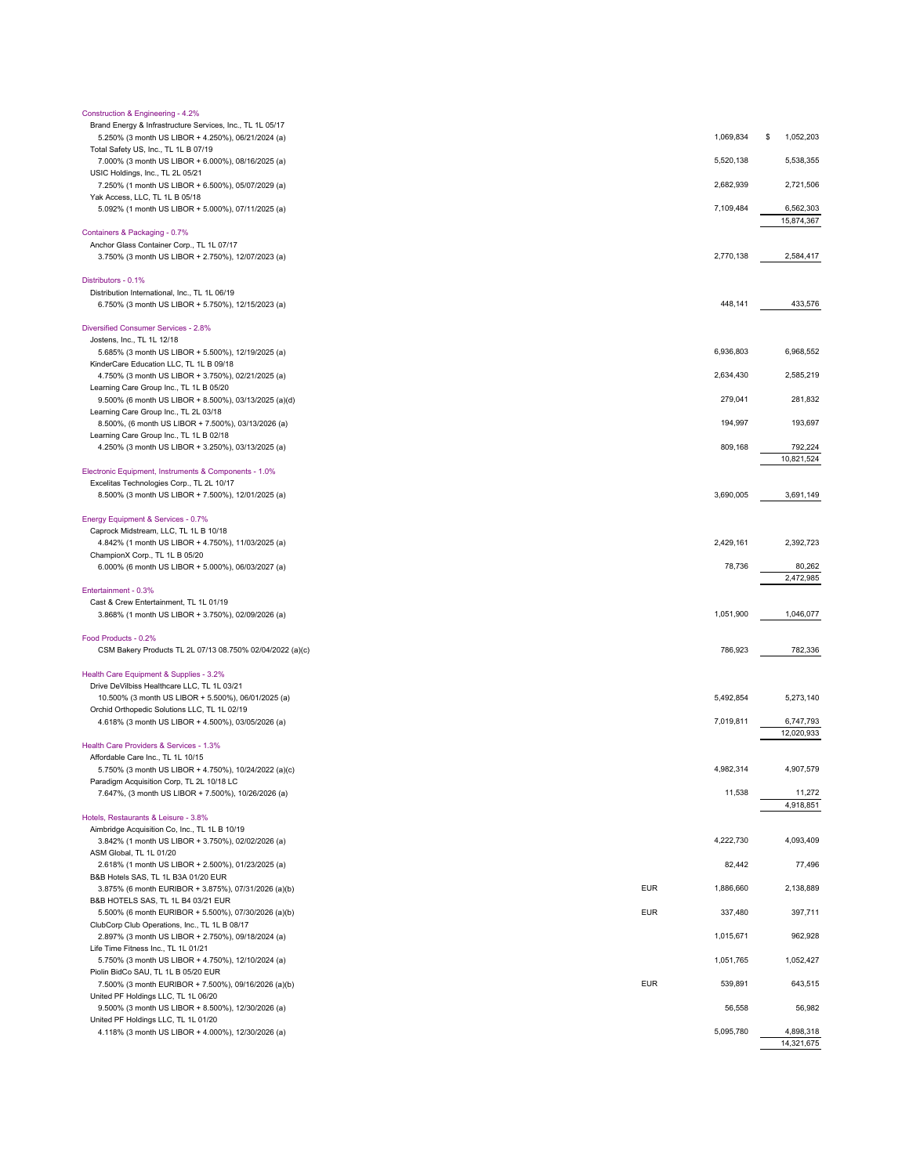| Construction & Engineering - 4.2%                                                              |            |           |                 |
|------------------------------------------------------------------------------------------------|------------|-----------|-----------------|
| Brand Energy & Infrastructure Services, Inc., TL 1L 05/17                                      |            |           |                 |
| 5.250% (3 month US LIBOR + 4.250%), 06/21/2024 (a)                                             |            | 1,069,834 | 1,052,203<br>\$ |
| Total Safety US, Inc., TL 1L B 07/19                                                           |            | 5,520,138 | 5,538,355       |
| 7.000% (3 month US LIBOR + 6.000%), 08/16/2025 (a)<br>USIC Holdings, Inc., TL 2L 05/21         |            |           |                 |
| 7.250% (1 month US LIBOR + 6.500%), 05/07/2029 (a)                                             |            | 2,682,939 | 2,721,506       |
| Yak Access, LLC, TL 1L B 05/18                                                                 |            |           |                 |
| 5.092% (1 month US LIBOR + 5.000%), 07/11/2025 (a)                                             |            | 7,109,484 | 6,562,303       |
|                                                                                                |            |           | 15,874,367      |
| Containers & Packaging - 0.7%                                                                  |            |           |                 |
| Anchor Glass Container Corp., TL 1L 07/17                                                      |            |           |                 |
| 3.750% (3 month US LIBOR + 2.750%), 12/07/2023 (a)                                             |            | 2,770,138 | 2,584,417       |
|                                                                                                |            |           |                 |
| Distributors - 0.1%<br>Distribution International, Inc., TL 1L 06/19                           |            |           |                 |
| 6.750% (3 month US LIBOR + 5.750%), 12/15/2023 (a)                                             |            | 448,141   | 433,576         |
|                                                                                                |            |           |                 |
| Diversified Consumer Services - 2.8%                                                           |            |           |                 |
| Jostens, Inc., TL 1L 12/18                                                                     |            |           |                 |
| 5.685% (3 month US LIBOR + 5.500%), 12/19/2025 (a)                                             |            | 6,936,803 | 6,968,552       |
| KinderCare Education LLC, TL 1L B 09/18                                                        |            |           |                 |
| 4.750% (3 month US LIBOR + 3.750%), 02/21/2025 (a)                                             |            | 2,634,430 | 2,585,219       |
| Learning Care Group Inc., TL 1L B 05/20                                                        |            | 279,041   | 281,832         |
| 9.500% (6 month US LIBOR + 8.500%), 03/13/2025 (a)(d)<br>Learning Care Group Inc., TL 2L 03/18 |            |           |                 |
| 8.500%, (6 month US LIBOR + 7.500%), 03/13/2026 (a)                                            |            | 194,997   | 193,697         |
| Learning Care Group Inc., TL 1L B 02/18                                                        |            |           |                 |
| 4.250% (3 month US LIBOR + 3.250%), 03/13/2025 (a)                                             |            | 809,168   | 792,224         |
|                                                                                                |            |           | 10,821,524      |
| Electronic Equipment, Instruments & Components - 1.0%                                          |            |           |                 |
| Excelitas Technologies Corp., TL 2L 10/17                                                      |            |           |                 |
| 8.500% (3 month US LIBOR + 7.500%), 12/01/2025 (a)                                             |            | 3,690,005 | 3,691,149       |
|                                                                                                |            |           |                 |
| Energy Equipment & Services - 0.7%<br>Caprock Midstream, LLC, TL 1L B 10/18                    |            |           |                 |
| 4.842% (1 month US LIBOR + 4.750%), 11/03/2025 (a)                                             |            | 2,429,161 | 2,392,723       |
| ChampionX Corp., TL 1L B 05/20                                                                 |            |           |                 |
| 6.000% (6 month US LIBOR + 5.000%), 06/03/2027 (a)                                             |            | 78,736    | 80,262          |
|                                                                                                |            |           | 2,472,985       |
| Entertainment - 0.3%                                                                           |            |           |                 |
| Cast & Crew Entertainment, TL 1L 01/19                                                         |            |           |                 |
| 3.868% (1 month US LIBOR + 3.750%), 02/09/2026 (a)                                             |            | 1,051,900 | 1,046,077       |
| Food Products - 0.2%                                                                           |            |           |                 |
| CSM Bakery Products TL 2L 07/13 08.750% 02/04/2022 (a)(c)                                      |            | 786,923   | 782,336         |
|                                                                                                |            |           |                 |
| Health Care Equipment & Supplies - 3.2%                                                        |            |           |                 |
| Drive DeVilbiss Healthcare LLC, TL 1L 03/21                                                    |            |           |                 |
| 10.500% (3 month US LIBOR + 5.500%), 06/01/2025 (a)                                            |            | 5,492,854 | 5,273,140       |
| Orchid Orthopedic Solutions LLC, TL 1L 02/19                                                   |            |           |                 |
| 4.618% (3 month US LIBOR + 4.500%), 03/05/2026 (a)                                             |            | 7,019,811 | 6,747,793       |
|                                                                                                |            |           | 12,020,933      |
| Health Care Providers & Services - 1.3%<br>Affordable Care Inc., TL 1L 10/15                   |            |           |                 |
| 5.750% (3 month US LIBOR + 4.750%), 10/24/2022 (a)(c)                                          |            | 4,982,314 | 4,907,579       |
| Paradigm Acquisition Corp, TL 2L 10/18 LC                                                      |            |           |                 |
| 7.647%, (3 month US LIBOR + 7.500%), 10/26/2026 (a)                                            |            | 11,538    | 11,272          |
|                                                                                                |            |           | 4,918,851       |
| Hotels, Restaurants & Leisure - 3.8%                                                           |            |           |                 |
| Aimbridge Acquisition Co, Inc., TL 1L B 10/19                                                  |            |           |                 |
| 3.842% (1 month US LIBOR + 3.750%), 02/02/2026 (a)                                             |            | 4,222,730 | 4,093,409       |
| ASM Global, TL 1L 01/20                                                                        |            |           |                 |
| 2.618% (1 month US LIBOR + 2.500%), 01/23/2025 (a)<br>B&B Hotels SAS, TL 1L B3A 01/20 EUR      |            | 82,442    | 77,496          |
| 3.875% (6 month EURIBOR + 3.875%), 07/31/2026 (a)(b)                                           | <b>EUR</b> | 1,886,660 | 2,138,889       |
| B&B HOTELS SAS, TL 1L B4 03/21 EUR                                                             |            |           |                 |
| 5.500% (6 month EURIBOR + 5.500%), 07/30/2026 (a)(b)                                           | <b>EUR</b> | 337,480   | 397,711         |
| ClubCorp Club Operations, Inc., TL 1L B 08/17                                                  |            |           |                 |
| 2.897% (3 month US LIBOR + 2.750%), 09/18/2024 (a)                                             |            | 1,015,671 | 962,928         |
| Life Time Fitness Inc., TL 1L 01/21                                                            |            |           |                 |
| 5.750% (3 month US LIBOR + 4.750%), 12/10/2024 (a)                                             |            | 1,051,765 | 1,052,427       |
| Piolin BidCo SAU, TL 1L B 05/20 EUR                                                            |            |           |                 |
| 7.500% (3 month EURIBOR + 7.500%), 09/16/2026 (a)(b)                                           | <b>EUR</b> | 539,891   | 643,515         |
| United PF Holdings LLC, TL 1L 06/20<br>9.500% (3 month US LIBOR + 8.500%), 12/30/2026 (a)      |            | 56,558    | 56,982          |
| United PF Holdings LLC, TL 1L 01/20                                                            |            |           |                 |
| 4.118% (3 month US LIBOR + 4.000%), 12/30/2026 (a)                                             |            | 5,095,780 | 4,898,318       |
|                                                                                                |            |           | 14,321,675      |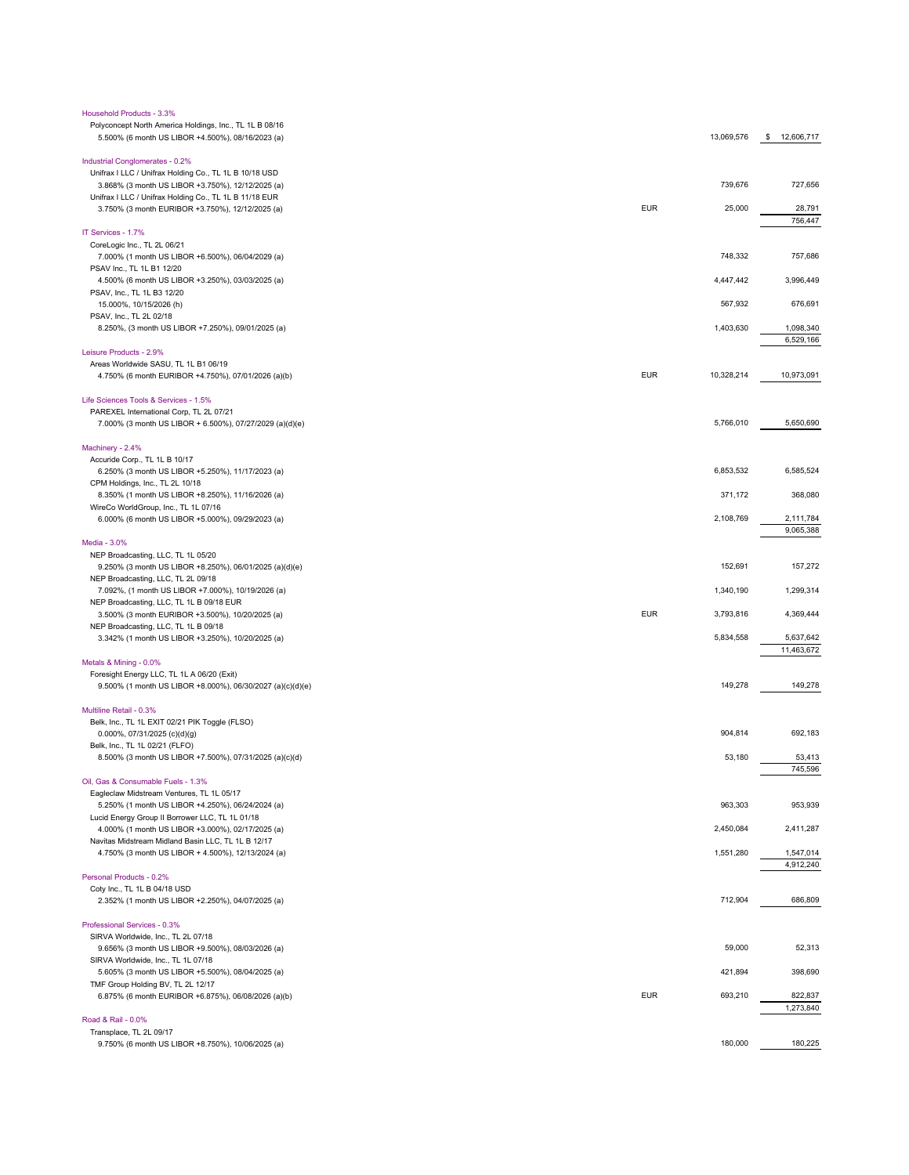| Household Products - 3.3%                                                                                    |                          |                        |
|--------------------------------------------------------------------------------------------------------------|--------------------------|------------------------|
| Polyconcept North America Holdings, Inc., TL 1L B 08/16<br>5.500% (6 month US LIBOR +4.500%), 08/16/2023 (a) | 13,069,576               | 12,606,717<br>\$       |
| Industrial Conglomerates - 0.2%                                                                              |                          |                        |
| Unifrax I LLC / Unifrax Holding Co., TL 1L B 10/18 USD                                                       |                          |                        |
| 3.868% (3 month US LIBOR +3.750%), 12/12/2025 (a)                                                            | 739,676                  | 727,656                |
| Unifrax I LLC / Unifrax Holding Co., TL 1L B 11/18 EUR                                                       |                          |                        |
| 3.750% (3 month EURIBOR +3.750%), 12/12/2025 (a)                                                             | <b>EUR</b><br>25,000     | 28,791                 |
| IT Services - 1.7%                                                                                           |                          | 756,447                |
| CoreLogic Inc., TL 2L 06/21                                                                                  |                          |                        |
| 7.000% (1 month US LIBOR +6.500%), 06/04/2029 (a)                                                            | 748,332                  | 757,686                |
| PSAV Inc., TL 1L B1 12/20                                                                                    |                          |                        |
| 4.500% (6 month US LIBOR +3.250%), 03/03/2025 (a)                                                            | 4.447.442                | 3,996,449              |
| PSAV, Inc., TL 1L B3 12/20                                                                                   |                          |                        |
| 15.000%, 10/15/2026 (h)                                                                                      | 567,932                  | 676,691                |
| PSAV, Inc., TL 2L 02/18<br>8.250%, (3 month US LIBOR +7.250%), 09/01/2025 (a)                                | 1,403,630                | 1,098,340              |
|                                                                                                              |                          | 6,529,166              |
| Leisure Products - 2.9%                                                                                      |                          |                        |
| Areas Worldwide SASU, TL 1L B1 06/19                                                                         |                          |                        |
| 4.750% (6 month EURIBOR +4.750%), 07/01/2026 (a)(b)                                                          | <b>EUR</b><br>10,328,214 | 10,973,091             |
| Life Sciences Tools & Services - 1.5%                                                                        |                          |                        |
| PAREXEL International Corp, TL 2L 07/21                                                                      |                          |                        |
| 7.000% (3 month US LIBOR + 6.500%), 07/27/2029 (a)(d)(e)                                                     | 5,766,010                | 5,650,690              |
|                                                                                                              |                          |                        |
| Machinery - 2.4%<br>Accuride Corp., TL 1L B 10/17                                                            |                          |                        |
| 6.250% (3 month US LIBOR +5.250%), 11/17/2023 (a)                                                            | 6,853,532                | 6,585,524              |
| CPM Holdings, Inc., TL 2L 10/18                                                                              |                          |                        |
| 8.350% (1 month US LIBOR +8.250%), 11/16/2026 (a)                                                            | 371,172                  | 368,080                |
| WireCo WorldGroup, Inc., TL 1L 07/16                                                                         |                          |                        |
| 6.000% (6 month US LIBOR +5.000%), 09/29/2023 (a)                                                            | 2,108,769                | 2,111,784<br>9,065,388 |
| Media - 3.0%                                                                                                 |                          |                        |
| NEP Broadcasting, LLC, TL 1L 05/20                                                                           |                          |                        |
| 9.250% (3 month US LIBOR +8.250%), 06/01/2025 (a)(d)(e)                                                      | 152,691                  | 157,272                |
| NEP Broadcasting, LLC, TL 2L 09/18                                                                           |                          |                        |
| 7.092%, (1 month US LIBOR +7.000%), 10/19/2026 (a)<br>NEP Broadcasting, LLC, TL 1L B 09/18 EUR               | 1,340,190                | 1,299,314              |
| 3.500% (3 month EURIBOR +3.500%), 10/20/2025 (a)                                                             | <b>EUR</b><br>3,793,816  | 4,369,444              |
| NEP Broadcasting, LLC, TL 1L B 09/18                                                                         |                          |                        |
| 3.342% (1 month US LIBOR +3.250%), 10/20/2025 (a)                                                            | 5,834,558                | 5,637,642              |
|                                                                                                              |                          | 11,463,672             |
| Metals & Mining - 0.0%<br>Foresight Energy LLC, TL 1L A 06/20 (Exit)                                         |                          |                        |
| 9.500% (1 month US LIBOR +8.000%), 06/30/2027 (a)(c)(d)(e)                                                   | 149,278                  | 149,278                |
| Multiline Retail - 0.3%                                                                                      |                          |                        |
| Belk, Inc., TL 1L EXIT 02/21 PIK Toggle (FLSO)                                                               |                          |                        |
| $0.000\%$ , 07/31/2025 (c)(d)(g)                                                                             | 904,814                  | 692,183                |
| Belk, Inc., TL 1L 02/21 (FLFO)                                                                               |                          |                        |
| 8.500% (3 month US LIBOR +7.500%), 07/31/2025 (a)(c)(d)                                                      | 53,180                   | 53,413                 |
| Oil, Gas & Consumable Fuels - 1.3%                                                                           |                          | 745,596                |
| Eagleclaw Midstream Ventures, TL 1L 05/17                                                                    |                          |                        |
| 5.250% (1 month US LIBOR +4.250%), 06/24/2024 (a)                                                            | 963,303                  | 953,939                |
| Lucid Energy Group II Borrower LLC, TL 1L 01/18                                                              |                          |                        |
| 4.000% (1 month US LIBOR +3.000%), 02/17/2025 (a)                                                            | 2,450,084                | 2,411,287              |
| Navitas Midstream Midland Basin LLC, TL 1L B 12/17                                                           |                          |                        |
| 4.750% (3 month US LIBOR + 4.500%), 12/13/2024 (a)                                                           | 1,551,280                | 1,547,014<br>4,912,240 |
| Personal Products - 0.2%                                                                                     |                          |                        |
| Coty Inc., TL 1L B 04/18 USD                                                                                 |                          |                        |
| 2.352% (1 month US LIBOR +2.250%), 04/07/2025 (a)                                                            | 712,904                  | 686,809                |
| Professional Services - 0.3%                                                                                 |                          |                        |
| SIRVA Worldwide, Inc., TL 2L 07/18                                                                           |                          |                        |
| 9.656% (3 month US LIBOR +9.500%), 08/03/2026 (a)                                                            | 59,000                   | 52,313                 |
| SIRVA Worldwide, Inc., TL 1L 07/18                                                                           |                          |                        |
| 5.605% (3 month US LIBOR +5.500%), 08/04/2025 (a)                                                            | 421,894                  | 398,690                |
| TMF Group Holding BV, TL 2L 12/17<br>6.875% (6 month EURIBOR +6.875%), 06/08/2026 (a)(b)                     | <b>EUR</b><br>693,210    | 822,837                |
|                                                                                                              |                          | 1,273,840              |
| Road & Rail - 0.0%                                                                                           |                          |                        |
| Transplace, TL 2L 09/17                                                                                      |                          |                        |
| 9.750% (6 month US LIBOR +8.750%), 10/06/2025 (a)                                                            | 180,000                  | 180,225                |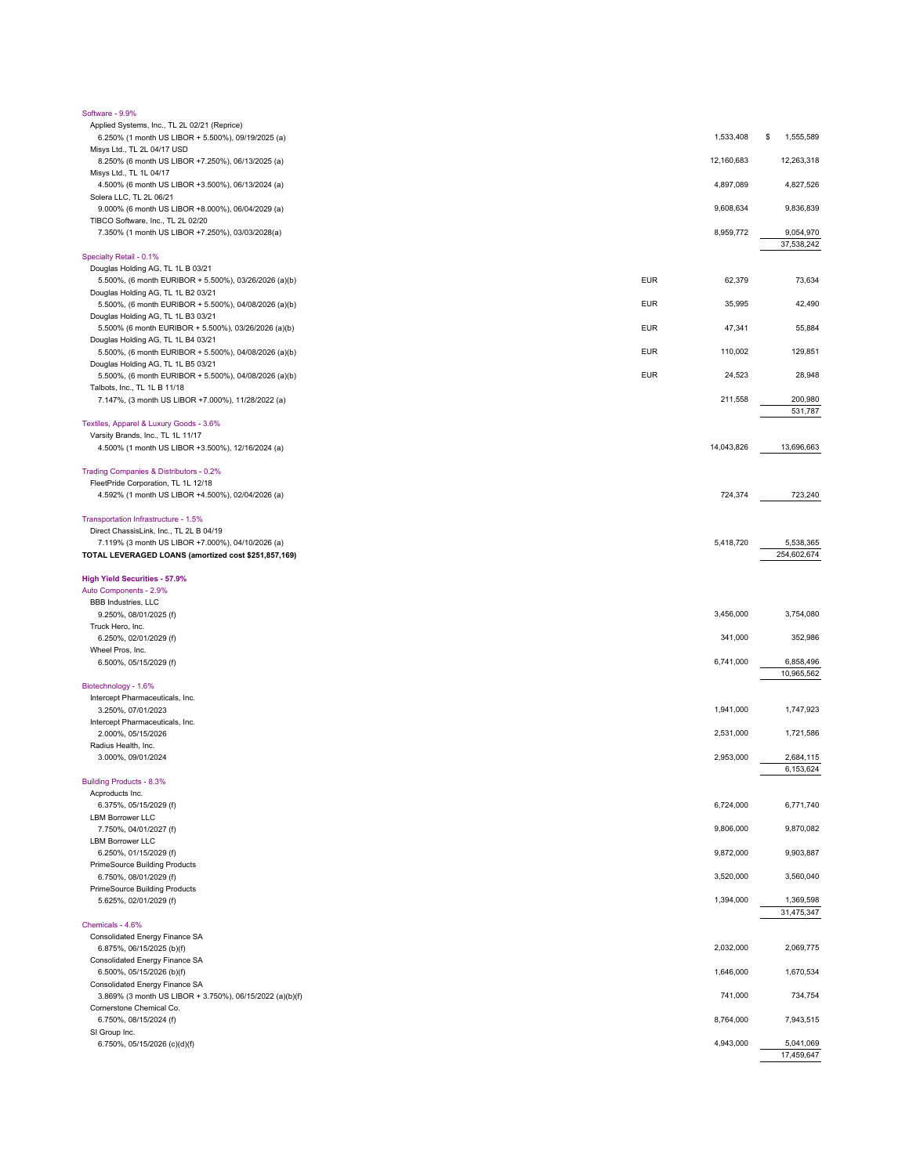| Software - 9.9%                                                                                           |            |            |                          |
|-----------------------------------------------------------------------------------------------------------|------------|------------|--------------------------|
| Applied Systems, Inc., TL 2L 02/21 (Reprice)                                                              |            |            |                          |
| 6.250% (1 month US LIBOR + 5.500%), 09/19/2025 (a)<br>Misys Ltd., TL 2L 04/17 USD                         |            | 1,533,408  | \$<br>1,555,589          |
| 8.250% (6 month US LIBOR +7.250%), 06/13/2025 (a)                                                         |            | 12,160,683 | 12,263,318               |
| Misys Ltd., TL 1L 04/17                                                                                   |            |            |                          |
| 4.500% (6 month US LIBOR +3.500%), 06/13/2024 (a)<br>Solera LLC, TL 2L 06/21                              |            | 4,897,089  | 4,827,526                |
| 9.000% (6 month US LIBOR +8.000%), 06/04/2029 (a)<br>TIBCO Software, Inc., TL 2L 02/20                    |            | 9,608,634  | 9,836,839                |
| 7.350% (1 month US LIBOR +7.250%), 03/03/2028(a)                                                          |            | 8,959,772  | 9,054,970<br>37,538,242  |
| Specialty Retail - 0.1%                                                                                   |            |            |                          |
| Douglas Holding AG, TL 1L B 03/21                                                                         |            |            |                          |
| 5.500%, (6 month EURIBOR + 5.500%), 03/26/2026 (a)(b)                                                     | <b>EUR</b> | 62,379     | 73,634                   |
| Douglas Holding AG, TL 1L B2 03/21<br>5.500%, (6 month EURIBOR + 5.500%), 04/08/2026 (a)(b)               | <b>EUR</b> | 35,995     | 42,490                   |
| Douglas Holding AG, TL 1L B3 03/21                                                                        |            |            |                          |
| 5.500% (6 month EURIBOR + 5.500%), 03/26/2026 (a)(b)<br>Douglas Holding AG, TL 1L B4 03/21                | <b>EUR</b> | 47,341     | 55,884                   |
| 5.500%, (6 month EURIBOR + 5.500%), 04/08/2026 (a)(b)                                                     | <b>EUR</b> | 110,002    | 129,851                  |
| Douglas Holding AG, TL 1L B5 03/21                                                                        |            |            |                          |
| 5.500%, (6 month EURIBOR + 5.500%), 04/08/2026 (a)(b)                                                     | <b>EUR</b> | 24,523     | 28,948                   |
| Talbots, Inc., TL 1L B 11/18<br>7.147%, (3 month US LIBOR +7.000%), 11/28/2022 (a)                        |            | 211,558    | 200,980                  |
|                                                                                                           |            |            | 531,787                  |
| Textiles, Apparel & Luxury Goods - 3.6%                                                                   |            |            |                          |
| Varsity Brands, Inc., TL 1L 11/17                                                                         |            |            |                          |
| 4.500% (1 month US LIBOR +3.500%), 12/16/2024 (a)                                                         |            | 14,043,826 | 13,696,663               |
| Trading Companies & Distributors - 0.2%                                                                   |            |            |                          |
| FleetPride Corporation, TL 1L 12/18                                                                       |            |            |                          |
| 4.592% (1 month US LIBOR +4.500%), 02/04/2026 (a)                                                         |            | 724,374    | 723,240                  |
| Transportation Infrastructure - 1.5%                                                                      |            |            |                          |
| Direct ChassisLink, Inc., TL 2L B 04/19                                                                   |            |            |                          |
| 7.119% (3 month US LIBOR +7.000%), 04/10/2026 (a)<br>TOTAL LEVERAGED LOANS (amortized cost \$251,857,169) |            | 5,418,720  | 5,538,365<br>254,602,674 |
|                                                                                                           |            |            |                          |
| <b>High Yield Securities - 57.9%</b>                                                                      |            |            |                          |
| Auto Components - 2.9%<br><b>BBB Industries, LLC</b>                                                      |            |            |                          |
| 9.250%, 08/01/2025 (f)                                                                                    |            | 3,456,000  | 3,754,080                |
| Truck Hero, Inc.                                                                                          |            |            |                          |
| 6.250%, 02/01/2029 (f)                                                                                    |            | 341,000    | 352,986                  |
| Wheel Pros, Inc.                                                                                          |            |            |                          |
| 6.500%, 05/15/2029 (f)                                                                                    |            | 6,741,000  | 6,858,496<br>10,965,562  |
| Biotechnology - 1.6%                                                                                      |            |            |                          |
| Intercept Pharmaceuticals, Inc.                                                                           |            |            |                          |
| 3.250%, 07/01/2023                                                                                        |            | 1,941,000  | 1,747,923                |
| Intercept Pharmaceuticals, Inc.<br>2.000%, 05/15/2026                                                     |            | 2,531,000  | 1,721,586                |
| Radius Health, Inc.                                                                                       |            |            |                          |
| 3.000%, 09/01/2024                                                                                        |            | 2,953,000  | 2,684,115                |
|                                                                                                           |            |            | 6,153,624                |
| <b>Building Products - 8.3%</b>                                                                           |            |            |                          |
| Acproducts Inc.<br>6.375%, 05/15/2029 (f)                                                                 |            | 6,724,000  | 6,771,740                |
| <b>LBM Borrower LLC</b>                                                                                   |            |            |                          |
| 7.750%, 04/01/2027 (f)                                                                                    |            | 9,806,000  | 9,870,082                |
| <b>LBM Borrower LLC</b>                                                                                   |            |            |                          |
| 6.250%, 01/15/2029 (f)                                                                                    |            | 9,872,000  | 9,903,887                |
| PrimeSource Building Products<br>6.750%, 08/01/2029 (f)                                                   |            | 3,520,000  | 3,560,040                |
| <b>PrimeSource Building Products</b>                                                                      |            |            |                          |
| 5.625%, 02/01/2029 (f)                                                                                    |            | 1,394,000  | 1,369,598<br>31,475,347  |
| Chemicals - 4.6%                                                                                          |            |            |                          |
| Consolidated Energy Finance SA                                                                            |            |            |                          |
| 6.875%, 06/15/2025 (b)(f)                                                                                 |            | 2,032,000  | 2,069,775                |
| Consolidated Energy Finance SA                                                                            |            | 1,646,000  | 1,670,534                |
| 6.500%, 05/15/2026 (b)(f)<br>Consolidated Energy Finance SA                                               |            |            |                          |
| 3.869% (3 month US LIBOR + 3.750%), 06/15/2022 (a)(b)(f)                                                  |            | 741,000    | 734,754                  |
| Cornerstone Chemical Co.                                                                                  |            |            |                          |
| 6.750%, 08/15/2024 (f)                                                                                    |            | 8,764,000  | 7,943,515                |
| SI Group Inc.<br>6.750%, 05/15/2026 (c)(d)(f)                                                             |            | 4,943,000  | 5,041,069                |
|                                                                                                           |            |            | 17,459,647               |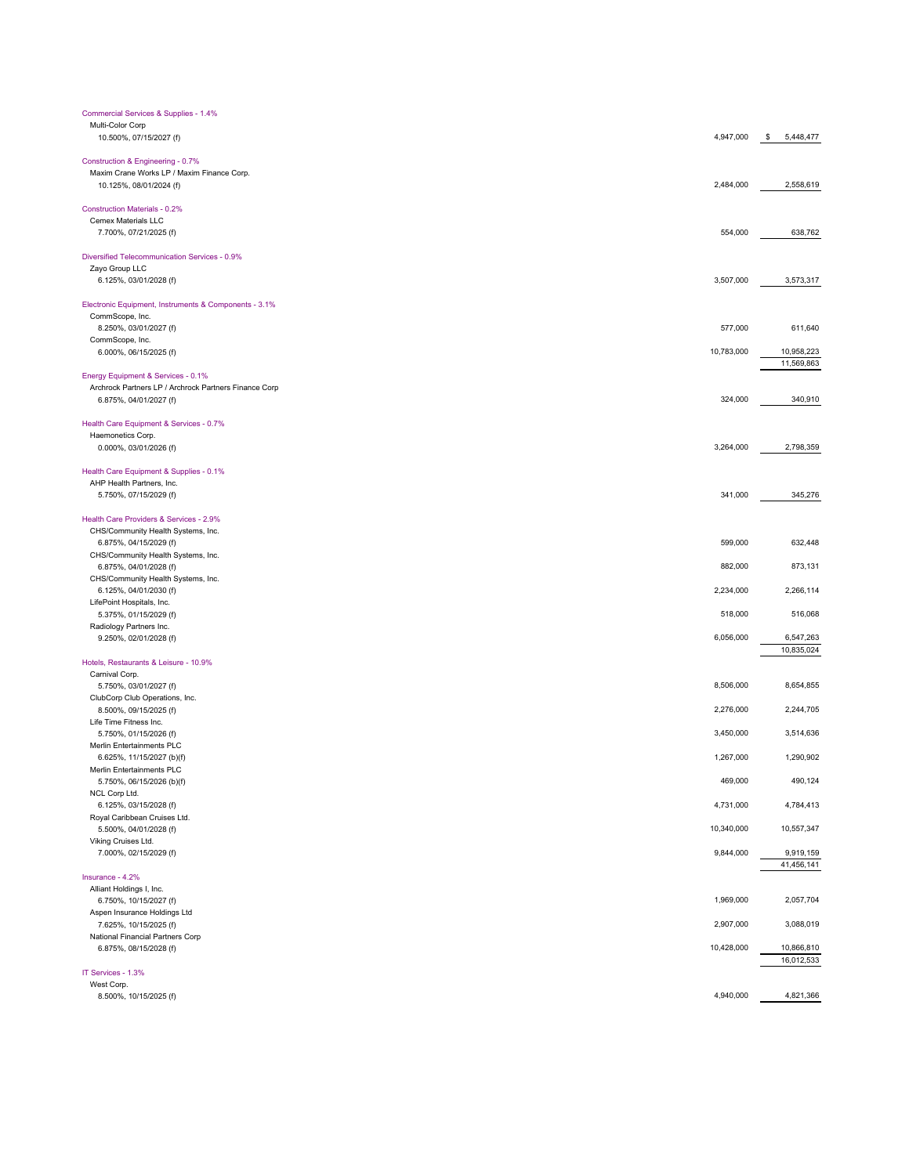| Commercial Services & Supplies - 1.4%                                           |            |                 |
|---------------------------------------------------------------------------------|------------|-----------------|
| Multi-Color Corp                                                                |            |                 |
| 10.500%, 07/15/2027 (f)                                                         | 4,947,000  | \$<br>5,448,477 |
|                                                                                 |            |                 |
| Construction & Engineering - 0.7%<br>Maxim Crane Works LP / Maxim Finance Corp. |            |                 |
| 10.125%, 08/01/2024 (f)                                                         | 2,484,000  | 2,558,619       |
|                                                                                 |            |                 |
| <b>Construction Materials - 0.2%</b>                                            |            |                 |
| Cemex Materials LLC                                                             |            |                 |
| 7.700%, 07/21/2025 (f)                                                          | 554,000    | 638,762         |
|                                                                                 |            |                 |
| Diversified Telecommunication Services - 0.9%                                   |            |                 |
| Zayo Group LLC<br>6.125%, 03/01/2028 (f)                                        | 3,507,000  | 3,573,317       |
|                                                                                 |            |                 |
| Electronic Equipment, Instruments & Components - 3.1%                           |            |                 |
| CommScope, Inc.                                                                 |            |                 |
| 8.250%, 03/01/2027 (f)                                                          | 577,000    | 611,640         |
| CommScope, Inc.                                                                 |            |                 |
| 6.000%, 06/15/2025 (f)                                                          | 10,783,000 | 10,958,223      |
|                                                                                 |            | 11,569,863      |
| Energy Equipment & Services - 0.1%                                              |            |                 |
| Archrock Partners LP / Archrock Partners Finance Corp                           |            |                 |
| 6.875%, 04/01/2027 (f)                                                          | 324,000    | 340,910         |
| Health Care Equipment & Services - 0.7%                                         |            |                 |
| Haemonetics Corp.                                                               |            |                 |
| 0.000%, 03/01/2026 (f)                                                          | 3,264,000  | 2,798,359       |
|                                                                                 |            |                 |
| Health Care Equipment & Supplies - 0.1%                                         |            |                 |
| AHP Health Partners, Inc.                                                       |            |                 |
| 5.750%, 07/15/2029 (f)                                                          | 341,000    | 345,276         |
|                                                                                 |            |                 |
| Health Care Providers & Services - 2.9%                                         |            |                 |
| CHS/Community Health Systems, Inc.                                              |            |                 |
| 6.875%, 04/15/2029 (f)                                                          | 599,000    | 632,448         |
| CHS/Community Health Systems, Inc.                                              |            |                 |
| 6.875%, 04/01/2028 (f)                                                          | 882,000    | 873,131         |
| CHS/Community Health Systems, Inc.<br>6.125%, 04/01/2030 (f)                    | 2,234,000  | 2,266,114       |
| LifePoint Hospitals, Inc.                                                       |            |                 |
| 5.375%, 01/15/2029 (f)                                                          | 518,000    | 516,068         |
| Radiology Partners Inc.                                                         |            |                 |
| 9.250%, 02/01/2028 (f)                                                          | 6,056,000  | 6,547,263       |
|                                                                                 |            | 10,835,024      |
| Hotels, Restaurants & Leisure - 10.9%                                           |            |                 |
| Carnival Corp.                                                                  |            |                 |
| 5.750%, 03/01/2027 (f)                                                          | 8,506,000  | 8,654,855       |
| ClubCorp Club Operations, Inc.                                                  |            |                 |
| 8.500%, 09/15/2025 (f)                                                          | 2,276,000  | 2,244,705       |
| Life Time Fitness Inc.                                                          |            |                 |
| 5.750%, 01/15/2026 (f)                                                          | 3,450,000  | 3,514,636       |
| Merlin Entertainments PLC<br>6.625%, 11/15/2027 (b)(f)                          | 1,267,000  | 1,290,902       |
| Merlin Entertainments PLC                                                       |            |                 |
| 5.750%, 06/15/2026 (b)(f)                                                       | 469,000    | 490,124         |
| NCL Corp Ltd.                                                                   |            |                 |
| 6.125%, 03/15/2028 (f)                                                          | 4,731,000  | 4,784,413       |
| Royal Caribbean Cruises Ltd.                                                    |            |                 |
| 5.500%, 04/01/2028 (f)                                                          | 10,340,000 | 10,557,347      |
| Viking Cruises Ltd.                                                             |            |                 |
| 7.000%, 02/15/2029 (f)                                                          | 9,844,000  | 9,919,159       |
|                                                                                 |            | 41,456,141      |
| Insurance - 4.2%                                                                |            |                 |
| Alliant Holdings I, Inc.                                                        |            |                 |
| 6.750%, 10/15/2027 (f)                                                          | 1,969,000  | 2,057,704       |
| Aspen Insurance Holdings Ltd<br>7.625%, 10/15/2025 (f)                          | 2,907,000  | 3,088,019       |
| National Financial Partners Corp                                                |            |                 |
| 6.875%, 08/15/2028 (f)                                                          | 10,428,000 | 10,866,810      |
|                                                                                 |            | 16,012,533      |
| IT Services - 1.3%                                                              |            |                 |
| West Corp.                                                                      |            |                 |
| 8.500%, 10/15/2025 (f)                                                          | 4,940,000  | 4,821,366       |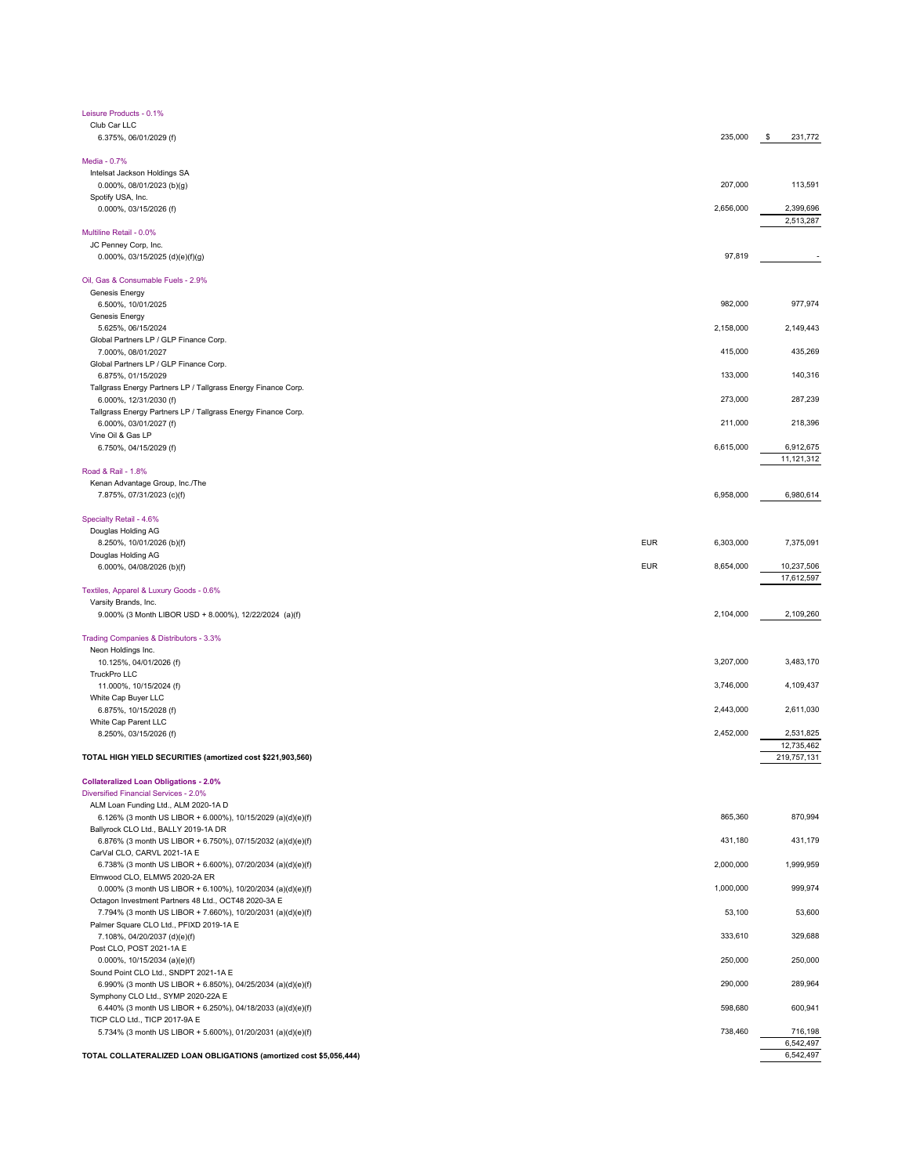| Leisure Products - 0.1%                                                                             |                         |               |
|-----------------------------------------------------------------------------------------------------|-------------------------|---------------|
| Club Car LLC                                                                                        |                         |               |
| 6.375%, 06/01/2029 (f)                                                                              | 235,000                 | \$<br>231,772 |
| Media - 0.7%                                                                                        |                         |               |
| Intelsat Jackson Holdings SA                                                                        |                         |               |
| 0.000%, 08/01/2023 (b)(g)                                                                           | 207,000                 | 113,591       |
| Spotify USA, Inc.                                                                                   |                         |               |
| 0.000%, 03/15/2026 (f)                                                                              | 2,656,000               | 2,399,696     |
|                                                                                                     |                         | 2,513,287     |
| Multiline Retail - 0.0%                                                                             |                         |               |
| JC Penney Corp, Inc.                                                                                |                         |               |
| $0.000\%$ , 03/15/2025 (d)(e)(f)(g)                                                                 | 97,819                  |               |
| Oil, Gas & Consumable Fuels - 2.9%                                                                  |                         |               |
| Genesis Energy                                                                                      |                         |               |
| 6.500%, 10/01/2025                                                                                  | 982,000                 | 977,974       |
| Genesis Energy                                                                                      |                         |               |
| 5.625%, 06/15/2024                                                                                  | 2,158,000               | 2,149,443     |
| Global Partners LP / GLP Finance Corp.                                                              |                         |               |
| 7.000%, 08/01/2027                                                                                  | 415,000                 | 435,269       |
| Global Partners LP / GLP Finance Corp.                                                              |                         |               |
| 6.875%, 01/15/2029                                                                                  | 133,000                 | 140,316       |
| Tallgrass Energy Partners LP / Tallgrass Energy Finance Corp.<br>6.000%, 12/31/2030 (f)             | 273,000                 | 287,239       |
| Tallgrass Energy Partners LP / Tallgrass Energy Finance Corp.                                       |                         |               |
| 6.000%, 03/01/2027 (f)                                                                              | 211,000                 | 218,396       |
| Vine Oil & Gas LP                                                                                   |                         |               |
| 6.750%, 04/15/2029 (f)                                                                              | 6,615,000               | 6,912,675     |
|                                                                                                     |                         | 11,121,312    |
| Road & Rail - 1.8%                                                                                  |                         |               |
| Kenan Advantage Group, Inc./The                                                                     |                         |               |
| 7.875%, 07/31/2023 (c)(f)                                                                           | 6,958,000               | 6,980,614     |
|                                                                                                     |                         |               |
| Specialty Retail - 4.6%<br>Douglas Holding AG                                                       |                         |               |
| 8.250%, 10/01/2026 (b)(f)                                                                           | <b>EUR</b><br>6,303,000 | 7,375,091     |
| Douglas Holding AG                                                                                  |                         |               |
| 6.000%, 04/08/2026 (b)(f)                                                                           | <b>EUR</b><br>8,654,000 | 10,237,506    |
|                                                                                                     |                         | 17,612,597    |
| Textiles, Apparel & Luxury Goods - 0.6%                                                             |                         |               |
| Varsity Brands, Inc.                                                                                |                         |               |
| 9.000% (3 Month LIBOR USD + 8.000%), 12/22/2024 (a)(f)                                              | 2,104,000               | 2,109,260     |
|                                                                                                     |                         |               |
| Trading Companies & Distributors - 3.3%                                                             |                         |               |
| Neon Holdings Inc.<br>10.125%, 04/01/2026 (f)                                                       | 3,207,000               | 3,483,170     |
| TruckPro LLC                                                                                        |                         |               |
| 11.000%, 10/15/2024 (f)                                                                             | 3,746,000               | 4,109,437     |
| White Cap Buyer LLC                                                                                 |                         |               |
| 6.875%, 10/15/2028 (f)                                                                              | 2,443,000               | 2,611,030     |
| White Cap Parent LLC                                                                                |                         |               |
| 8.250%, 03/15/2026 (f)                                                                              | 2,452,000               | 2,531,825     |
|                                                                                                     |                         | 12,735,462    |
| TOTAL HIGH YIELD SECURITIES (amortized cost \$221,903,560)                                          |                         | 219,757,131   |
|                                                                                                     |                         |               |
| <b>Collateralized Loan Obligations - 2.0%</b><br>Diversified Financial Services - 2.0%              |                         |               |
|                                                                                                     |                         |               |
| ALM Loan Funding Ltd., ALM 2020-1A D<br>6.126% (3 month US LIBOR + 6.000%), 10/15/2029 (a)(d)(e)(f) | 865,360                 | 870,994       |
| Ballyrock CLO Ltd., BALLY 2019-1A DR                                                                |                         |               |
| 6.876% (3 month US LIBOR + 6.750%), 07/15/2032 (a)(d)(e)(f)                                         | 431,180                 | 431,179       |
| CarVal CLO, CARVL 2021-1A E                                                                         |                         |               |
| 6.738% (3 month US LIBOR + 6.600%), 07/20/2034 (a)(d)(e)(f)                                         | 2,000,000               | 1,999,959     |
| Elmwood CLO, ELMW5 2020-2A ER                                                                       |                         |               |
| 0.000% (3 month US LIBOR + 6.100%), 10/20/2034 (a)(d)(e)(f)                                         | 1,000,000               | 999,974       |
| Octagon Investment Partners 48 Ltd., OCT48 2020-3A E                                                |                         |               |
| 7.794% (3 month US LIBOR + 7.660%), 10/20/2031 (a)(d)(e)(f)                                         | 53,100                  | 53,600        |
| Palmer Square CLO Ltd., PFIXD 2019-1A E<br>7.108%, 04/20/2037 (d)(e)(f)                             | 333,610                 | 329,688       |
| Post CLO, POST 2021-1A E                                                                            |                         |               |
| $0.000\%$ , 10/15/2034 (a)(e)(f)                                                                    | 250,000                 | 250,000       |
| Sound Point CLO Ltd., SNDPT 2021-1A E                                                               |                         |               |
| 6.990% (3 month US LIBOR + 6.850%), 04/25/2034 (a)(d)(e)(f)                                         | 290,000                 | 289,964       |
| Symphony CLO Ltd., SYMP 2020-22A E                                                                  |                         |               |
| 6.440% (3 month US LIBOR + 6.250%), 04/18/2033 (a)(d)(e)(f)                                         | 598,680                 | 600,941       |
| TICP CLO Ltd., TICP 2017-9A E                                                                       |                         |               |
| 5.734% (3 month US LIBOR + 5.600%), 01/20/2031 (a)(d)(e)(f)                                         | 738,460                 | 716,198       |
|                                                                                                     |                         | 6,542,497     |
| TOTAL COLLATERALIZED LOAN OBLIGATIONS (amortized cost \$5,056,444)                                  |                         | 6,542,497     |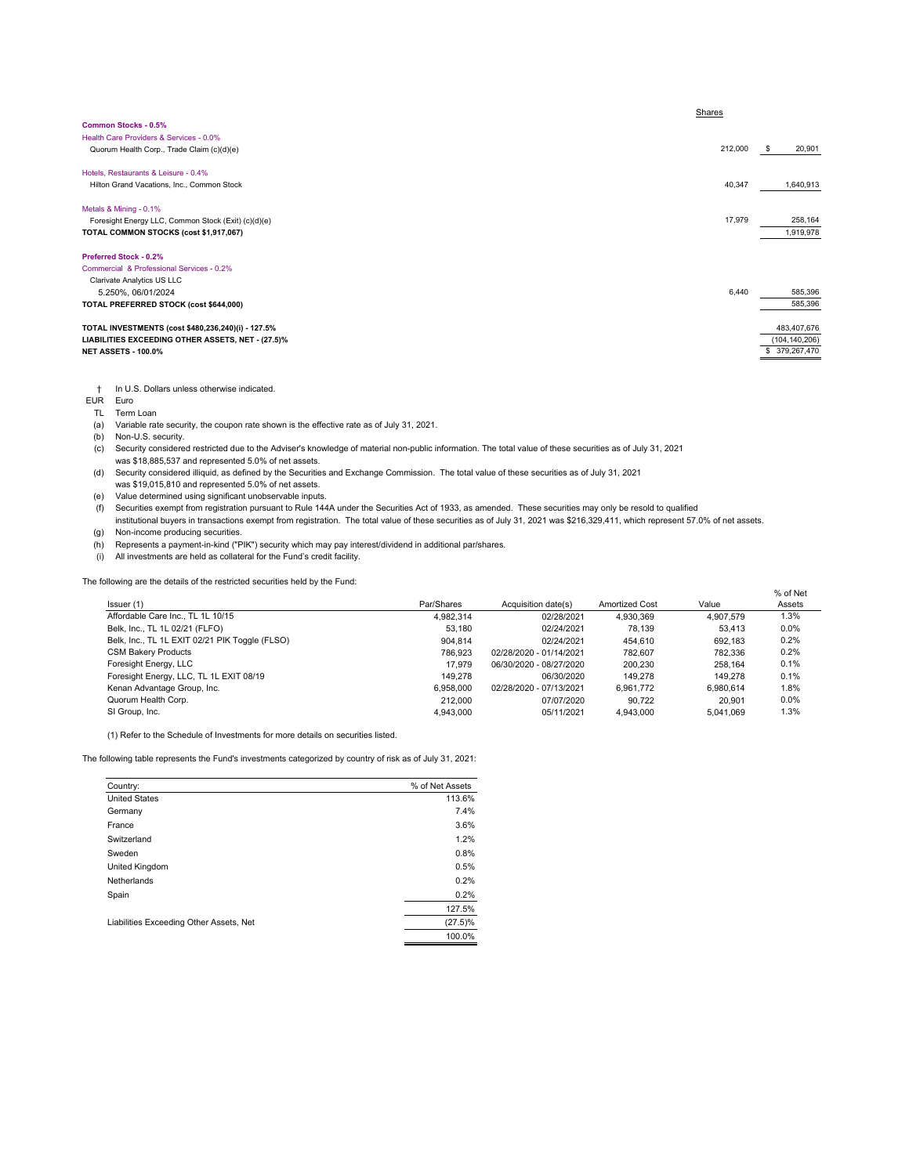|                                                     | Shares  |                 |
|-----------------------------------------------------|---------|-----------------|
| Common Stocks - 0.5%                                |         |                 |
| Health Care Providers & Services - 0.0%             |         |                 |
| Quorum Health Corp., Trade Claim (c)(d)(e)          | 212,000 | 20,901<br>S     |
| Hotels, Restaurants & Leisure - 0.4%                |         |                 |
| Hilton Grand Vacations, Inc., Common Stock          | 40,347  | 1,640,913       |
| Metals & Mining - 0.1%                              |         |                 |
| Foresight Energy LLC, Common Stock (Exit) (c)(d)(e) | 17,979  | 258,164         |
| TOTAL COMMON STOCKS (cost \$1,917,067)              |         | 1,919,978       |
| <b>Preferred Stock - 0.2%</b>                       |         |                 |
| Commercial & Professional Services - 0.2%           |         |                 |
| Clarivate Analytics US LLC                          |         |                 |
| 5.250%, 06/01/2024                                  | 6,440   | 585,396         |
| TOTAL PREFERRED STOCK (cost \$644,000)              |         | 585,396         |
| TOTAL INVESTMENTS (cost \$480,236,240)(i) - 127.5%  |         | 483,407,676     |
| LIABILITIES EXCEEDING OTHER ASSETS, NET - (27.5)%   |         | (104, 140, 206) |
| <b>NET ASSETS - 100.0%</b>                          |         | 379,267,470     |

† In U.S. Dollars unless otherwise indicated.

EUR Euro

TL Term Loan

(a) Variable rate security, the coupon rate shown is the effective rate as of July 31, 2021.

(b) Non-U.S. security.

- (c) Security considered restricted due to the Adviser's knowledge of material non-public information. The total value of these securities as of July 31, 2021 was \$18,885,537 and represented 5.0% of net assets.
- (d) Security considered illiquid, as defined by the Securities and Exchange Commission. The total value of these securities as of July 31, 2021 was \$19,015,810 and represented 5.0% of net assets.

(e) Value determined using significant unobservable inputs.

(f) Securities exempt from registration pursuant to Rule 144A under the Securities Act of 1933, as amended. These securities may only be resold to qualified

institutional buyers in transactions exempt from registration. The total value of these securities as of July 31, 2021 was \$216,329,411, which represent 57.0% of net assets. (g) Non-income producing securities.

(h) Represents a payment-in-kind ("PIK") security which may pay interest/dividend in additional par/shares.

(i) All investments are held as collateral for the Fund's credit facility.

The following are the details of the restricted securities held by the Fund:

| Issuer (1)                                     | Par/Shares | Acquisition date(s)     | <b>Amortized Cost</b> | Value     | % of Net<br>Assets |
|------------------------------------------------|------------|-------------------------|-----------------------|-----------|--------------------|
| Affordable Care Inc., TL 1L 10/15              | 4.982.314  | 02/28/2021              | 4.930.369             | 4.907.579 | 1.3%               |
| Belk, Inc., TL 1L 02/21 (FLFO)                 | 53.180     | 02/24/2021              | 78.139                | 53.413    | 0.0%               |
| Belk, Inc., TL 1L EXIT 02/21 PIK Toggle (FLSO) | 904.814    | 02/24/2021              | 454.610               | 692.183   | 0.2%               |
| <b>CSM Bakery Products</b>                     | 786.923    | 02/28/2020 - 01/14/2021 | 782.607               | 782.336   | 0.2%               |
| Foresight Energy, LLC                          | 17.979     | 06/30/2020 - 08/27/2020 | 200.230               | 258.164   | 0.1%               |
| Foresight Energy, LLC, TL 1L EXIT 08/19        | 149.278    | 06/30/2020              | 149.278               | 149.278   | 0.1%               |
| Kenan Advantage Group, Inc.                    | 6.958.000  | 02/28/2020 - 07/13/2021 | 6.961.772             | 6.980.614 | 1.8%               |
| Quorum Health Corp.                            | 212,000    | 07/07/2020              | 90.722                | 20.901    | 0.0%               |
| SI Group, Inc.                                 | 4.943.000  | 05/11/2021              | 4.943.000             | 5.041.069 | 1.3%               |

(1) Refer to the Schedule of Investments for more details on securities listed.

The following table represents the Fund's investments categorized by country of risk as of July 31, 2021:

| Country:                                | % of Net Assets |
|-----------------------------------------|-----------------|
| <b>United States</b>                    | 113.6%          |
| Germany                                 | 7.4%            |
| France                                  | 3.6%            |
| Switzerland                             | 1.2%            |
| Sweden                                  | 0.8%            |
| United Kingdom                          | 0.5%            |
| Netherlands                             | 0.2%            |
| Spain                                   | 0.2%            |
|                                         | 127.5%          |
| Liabilities Exceeding Other Assets, Net | $(27.5)\%$      |
|                                         | 100.0%          |